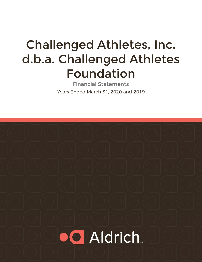# Challenged Athletes, Inc. d.b.a. Challenged Athletes Foundation

Financial Statements Years Ended March 31, 2020 and 2019

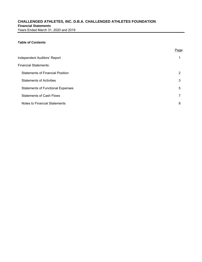#### **Table of Contents**

|                                          | Page |
|------------------------------------------|------|
| Independent Auditors' Report             |      |
| Financial Statements:                    |      |
| <b>Statements of Financial Position</b>  | 2    |
| <b>Statements of Activities</b>          | 3    |
| <b>Statements of Functional Expenses</b> | 5    |
| <b>Statements of Cash Flows</b>          |      |
| Notes to Financial Statements            | 8    |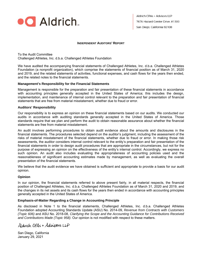

**Aldrich CPAs + Advisors LLP** 7676 Hazard Center Drive. #1300 San Diego. California 92108

#### **INDEPENDENT AUDITORS' REPORT**

To the Audit Committee Challenged Athletes, Inc. d.b.a. Challenged Athletes Foundation

We have audited the accompanying financial statements of Challenged Athletes, Inc. d.b.a. Challenged Athletes Foundation (a nonprofit organization), which comprise the statements of financial position as of March 31, 2020 and 2019, and the related statements of activities, functional expenses, and cash flows for the years then ended, and the related notes to the financial statements.

#### **Management's Responsibility for the Financial Statements**

Management is responsible for the preparation and fair presentation of these financial statements in accordance with accounting principles generally accepted in the United States of America; this includes the design, implementation, and maintenance of internal control relevant to the preparation and fair presentation of financial statements that are free from material misstatement, whether due to fraud or error.

#### **Auditors' Responsibility**

Our responsibility is to express an opinion on these financial statements based on our audits. We conducted our audits in accordance with auditing standards generally accepted in the United States of America. Those standards require that we plan and perform the audit to obtain reasonable assurance about whether the financial statements are free from material misstatement.

An audit involves performing procedures to obtain audit evidence about the amounts and disclosures in the financial statements. The procedures selected depend on the auditor's judgment, including the assessment of the risks of material misstatement of the financial statements, whether due to fraud or error. In making those risk assessments, the auditor considers internal control relevant to the entity's preparation and fair presentation of the financial statements in order to design audit procedures that are appropriate in the circumstances, but not for the purpose of expressing an opinion on the effectiveness of the entity's internal control. Accordingly, we express no such opinion. An audit also includes evaluating the appropriateness of accounting policies used and the reasonableness of significant accounting estimates made by management, as well as evaluating the overall presentation of the financial statements.

We believe that the audit evidence we have obtained is sufficient and appropriate to provide a basis for our audit opinion.

#### **Opinion**

In our opinion, the financial statements referred to above present fairly, in all material respects, the financial position of Challenged Athletes, Inc. d.b.a. Challenged Athletes Foundation as of March 31, 2020 and 2019, and the changes in its net assets and its cash flows for the years then ended in accordance with accounting principles generally accepted in the United States of America.

#### **Emphasis-of-Matter Regarding a Change in Accounting Principle**

As disclosed in Note 1 to the financial statements, Challenged Athletes, Inc. d.b.a. Challenged Athletes Foundation adopted Accounting Standards Update (ASU) No. 2014-09, *Revenue from Contracts with Customers (Topic 606)* and ASU No. 2018-08, *Clarifying the Scope and the Accounting Guidance for Contributions Received and Contributions Made (Topic 958)*. Our opinion is not modified with respect to these matters.

Aldrich CPAs + Adrisons LLP

San Diego, California January 29, 2021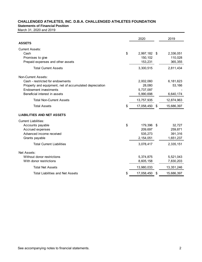**Statements of Financial Position** 

March 31, 2020 and 2019

|                                                                                         |    | 2020                   |    | 2019       |
|-----------------------------------------------------------------------------------------|----|------------------------|----|------------|
| <b>ASSETS</b>                                                                           |    |                        |    |            |
| <b>Current Assets:</b>                                                                  |    |                        |    |            |
| Cash                                                                                    | \$ | 2,997,182 \$           |    | 2,336,051  |
| Promises to give                                                                        |    | 150,102                |    | 110,028    |
| Prepaid expenses and other assets                                                       |    | 153,231                |    | 365,355    |
| <b>Total Current Assets</b>                                                             |    | 3,300,515              |    | 2,811,434  |
| Non-Current Assets:                                                                     |    |                        |    |            |
| Cash - restricted for endowments                                                        |    | 2,002,060              |    | 6,181,623  |
| Property and equipment, net of accumulated depreciation<br><b>Endowment investments</b> |    | 28,080                 |    | 53,166     |
| Beneficial interest in assets                                                           |    | 5,737,097<br>5,990,698 |    | 6,640,174  |
|                                                                                         |    |                        |    |            |
| <b>Total Non-Current Assets</b>                                                         |    | 13,757,935             |    | 12,874,963 |
| <b>Total Assets</b>                                                                     | S  | 17,058,450             | \$ | 15,686,397 |
| <b>LIABILITIES AND NET ASSETS</b>                                                       |    |                        |    |            |
| <b>Current Liabilities:</b>                                                             |    |                        |    |            |
| Accounts payable                                                                        | \$ | 179,396                | S  | 32,727     |
| Accrued expenses                                                                        |    | 209,697                |    | 259,871    |
| Advanced income received                                                                |    | 535,273                |    | 391,316    |
| Grants payable                                                                          |    | 2,154,051              |    | 1,651,237  |
| <b>Total Current Liabilities</b>                                                        |    | 3,078,417              |    | 2,335,151  |
| Net Assets:                                                                             |    |                        |    |            |
| Without donor restrictions                                                              |    | 5,374,875              |    | 5,521,043  |
| With donor restrictions                                                                 |    | 8,605,158              |    | 7,830,203  |
| <b>Total Net Assets</b>                                                                 |    | 13,980,033             |    | 13,351,246 |
| <b>Total Liabilities and Net Assets</b>                                                 |    | 17,058,450             | \$ | 15,686,397 |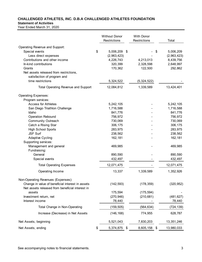#### **Statement of Activities**

|                                                                                                     | <b>Without Donor</b><br>Restrictions |      | <b>With Donor</b><br>Restrictions | Total           |
|-----------------------------------------------------------------------------------------------------|--------------------------------------|------|-----------------------------------|-----------------|
| Operating Revenue and Support:                                                                      |                                      |      |                                   |                 |
| Special events                                                                                      | \$<br>5,006,209                      | \$   |                                   | \$<br>5,006,209 |
| Less direct expenses                                                                                | (2,963,423)                          |      |                                   | (2,963,423)     |
| Contributions and other income                                                                      | 4,226,743                            |      | 4,213,013                         | 8,439,756       |
| In-kind contributions                                                                               | 320,399                              |      | 2,328,598                         | 2,648,997       |
| Grants                                                                                              | 170,362                              |      | 122,500                           | 292,862         |
| Net assets released from restrictions,                                                              |                                      |      |                                   |                 |
| satisfaction of program and                                                                         |                                      |      |                                   |                 |
| time restrictions                                                                                   | 5,324,522                            |      | (5,324,522)                       |                 |
| <b>Total Operating Revenue and Support</b>                                                          | 12,084,812                           |      | 1,339,589                         | 13,424,401      |
|                                                                                                     |                                      |      |                                   |                 |
| <b>Operating Expenses:</b><br>Program services:                                                     |                                      |      |                                   |                 |
| <b>Access for Athletes</b>                                                                          | 5,242,105                            |      |                                   | 5,242,105       |
| San Diego Triathlon Challenge                                                                       | 1,716,588                            |      |                                   | 1,716,588       |
| Idaho                                                                                               | 841,776                              |      |                                   | 841,776         |
| <b>Operation Rebound</b>                                                                            | 756,972                              |      |                                   | 756,972         |
| <b>Community Outreach</b>                                                                           | 730,069                              |      |                                   | 730,069         |
| Catch a Rising Star                                                                                 | 306,175                              |      |                                   | 306,175         |
| <b>High School Sports</b>                                                                           | 283,975                              |      |                                   | 283,975         |
| <b>JSF Surf</b>                                                                                     | 238,562                              |      |                                   | 238,562         |
| <b>Adaptive Cycling</b>                                                                             | 162,181                              |      |                                   | 162,181         |
| Supporting services:                                                                                |                                      |      |                                   |                 |
| Management and general                                                                              | 469,985                              |      |                                   | 469,985         |
| Fundraising:                                                                                        |                                      |      |                                   |                 |
| General                                                                                             | 890,590                              |      |                                   | 890,590         |
| Special events                                                                                      | 432,497                              |      |                                   | 432,497         |
| <b>Total Operating Expenses</b>                                                                     | 12,071,475                           |      |                                   | 12,071,475      |
|                                                                                                     |                                      |      |                                   |                 |
| Operating Income                                                                                    | 13,337                               |      | 1,339,589                         | 1,352,926       |
| Non-Operating Revenues (Expenses):                                                                  |                                      |      |                                   |                 |
| Change in value of beneficial interest in assets<br>Net assets released from beneficial interest in | (142, 593)                           |      | (178, 359)                        | (320, 952)      |
| assets                                                                                              | 175,594                              |      | (175, 594)                        |                 |
| Investment return, net                                                                              | (270, 946)                           |      | (210, 681)                        | (481, 627)      |
| Interest income                                                                                     | 78,440                               |      |                                   | 78,440          |
| Total Change in Non-Operating                                                                       | (159, 505)                           |      | (564, 634)                        | (724, 139)      |
| Increase (Decrease) in Net Assets                                                                   | (146, 168)                           |      | 774,955                           | 628,787         |
| Net Assets, beginning                                                                               | 5,521,043                            |      | 7,830,203                         | 13,351,246      |
| Net Assets, ending                                                                                  | \$<br>5,374,875                      | - \$ | 8,605,158 \$                      | 13,980,033      |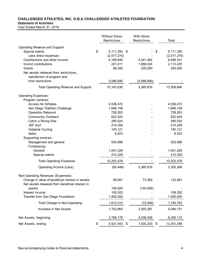#### **Statement of Activities**

|                                                        | <b>Without Donor</b><br>Restrictions | <b>With Donor</b><br>Restrictions | Total                  |
|--------------------------------------------------------|--------------------------------------|-----------------------------------|------------------------|
| Operating Revenue and Support:                         |                                      |                                   |                        |
| Special events                                         | \$<br>5,111,350                      | \$                                | \$<br>5,111,350        |
| Less direct expenses<br>Contributions and other income | (2, 517, 270)                        |                                   | (2, 517, 270)          |
| In-kind contributions                                  | 4,166,849<br>227,411                 | 4,341,482<br>1,886,024            | 8,508,331<br>2,113,435 |
| Grants                                                 | 68,000                               | 225,000                           | 293,000                |
| Net assets released from restrictions,                 |                                      |                                   |                        |
| satisfaction of program and                            |                                      |                                   |                        |
| time restrictions                                      | 3,086,690                            | (3,086,690)                       |                        |
| <b>Total Operating Revenue and Support</b>             | 10,143,030                           | 3,365,816                         | 13,508,846             |
| <b>Operating Expenses:</b>                             |                                      |                                   |                        |
| Program services:                                      |                                      |                                   |                        |
| <b>Access for Athletes</b>                             | 4,536,472                            |                                   | 4,536,472              |
| San Diego Triathlon Challenge                          | 1,689,158                            |                                   | 1,689,158              |
| <b>Operation Rebound</b>                               | 728,263                              |                                   | 728,263                |
| <b>Community Outreach</b>                              | 622,424                              |                                   | 622,424                |
| Catch a Rising Star                                    | 285,024                              |                                   | 285,024                |
| <b>JSF Surf</b>                                        | 214,259<br>140,121                   |                                   | 214,259<br>140,121     |
| <b>Adaptive Cycling</b><br>Idaho                       | 8,203                                |                                   | 8,203                  |
| Supporting services:                                   |                                      |                                   |                        |
| Management and general                                 | 525,996                              |                                   | 525,996                |
| Fundraising:                                           |                                      |                                   |                        |
| General                                                | 1,041,229                            |                                   | 1,041,229              |
| Special events                                         | 412,329                              |                                   | 412,329                |
| <b>Total Operating Expenses</b>                        | 10,203,478                           |                                   | 10,203,478             |
| Operating Income (Loss)                                | (60, 448)                            | 3,365,816                         | 3,305,368              |
| Non-Operating Revenues (Expenses):                     |                                      |                                   |                        |
| Change in value of beneficial interest in assets       | 59,081                               | 73,380                            | 132,461                |
| Net assets released from beneficial interest in        |                                      |                                   |                        |
| assets                                                 | 145,929                              | (145, 929)                        |                        |
| Interest income                                        | 108,302                              |                                   | 108,302                |
| Transfer from San Diego Foundation                     | 1,500,000                            |                                   | 1,500,000              |
| Total Change in Non-Operating                          | 1,813,312                            | (72, 549)                         | 1,740,763              |
| Increase in Net Assets                                 | 1,752,864                            | 3,293,267                         | 5,046,131              |
| Net Assets, beginning                                  | 3,768,179                            | 4,536,936                         | 8,305,115              |
| Net Assets, ending                                     | \$<br>5,521,043                      | \$<br>7,830,203 \$                | 13,351,246             |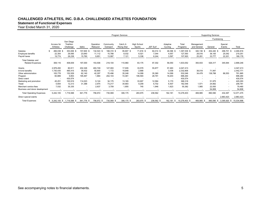### **Statement of Functional Expenses**

|                                                      | Program Services |                                |                                     |                                |                               |                                |                               |                              |                             |                             | <b>Supporting Services</b>        |                                |                                |                                     |                                 |
|------------------------------------------------------|------------------|--------------------------------|-------------------------------------|--------------------------------|-------------------------------|--------------------------------|-------------------------------|------------------------------|-----------------------------|-----------------------------|-----------------------------------|--------------------------------|--------------------------------|-------------------------------------|---------------------------------|
|                                                      |                  |                                |                                     |                                |                               |                                |                               |                              |                             |                             |                                   |                                |                                | Fundraising                         |                                 |
|                                                      |                  | Access for<br>Athletes         | San Diego<br>Triathlon<br>Challenge | Idaho                          | Operation<br>Rebound          | Community<br>Outreach          | Catch A<br><b>Rising Star</b> | <b>High School</b><br>Sports | JSF Surf                    | Adaptive<br>Cycling         | Total<br>Programs                 | Management<br>and General      | General                        | Special<br>Events                   | Total                           |
| Salaries<br>Employee benefits<br>Payroll taxes       |                  | 266,038 \$<br>22,304<br>19,774 | 353,006 \$<br>29,595<br>26,238      | 157,600 \$<br>23,640<br>15,760 | 132,543 \$<br>11,112<br>9,851 | 188,319 \$<br>15,788<br>13,997 | 95,807 \$<br>8,032<br>7,121   | 71,816 \$<br>6.021<br>5,338  | 84,014 \$<br>7,044<br>6,244 | 48,396 \$<br>4,057<br>3,597 | .397,539 \$<br>127,593<br>107,920 | 340,136 \$<br>28,516<br>25,281 | 454,440 \$<br>38,100<br>33,777 | 298,701<br>- \$<br>25,042<br>22,201 | 2,490,816<br>219,251<br>189,179 |
| <b>Total Salaries and</b><br><b>Related Expenses</b> |                  | 308,116                        | 408,839                             | 197,000                        | 153,506                       | 218,104                        | 110,960                       | 83,175                       | 97,302                      | 56,050                      | 1,633,052                         | 393,933                        | 526,317                        | 345,944                             | 2,899,246                       |
| Grants                                               |                  | 2,978,450                      | 80,911                              | 202,326                        | 493,749                       | 127,093                        | 17,935                        | 33,579                       | 55,877                      | 57,493                      | 4,047,413                         |                                |                                | $\overline{\phantom{a}}$            | 4,047,413                       |
| In-kind benefits                                     |                  | 1,730,435                      | 485,415                             | 39,432                         | 50,800                        | 1,172                          | 19,848                        | 2,668                        |                             | 3,036                       | 2,332,806                         | 38,018                         | 71,947                         |                                     | 2,442,771                       |
| Other administration                                 |                  | 105,778                        | 152,529                             | 62,140                         | 42,297                        | 70.496                         | 35,248                        | 14,099                       | 35,360                      | 14,099                      | 532,046                           | 34,478                         | 138,788                        | 86,553                              | 791,865                         |
| Program                                              |                  | 60,889                         | 9,853                               | 195,467                        | 1,884                         | 202,103                        | 72,481                        | 106,593                      | 28,791                      | 18,203                      | 696,264                           |                                | . .                            | $\overline{\phantom{a}}$            | 696,264                         |
| Direct event                                         |                  | $\overline{a}$                 | 430,574                             |                                |                               |                                |                               | $\overline{\phantom{a}}$     |                             | $\overline{\phantom{a}}$    | 430,574                           |                                |                                | $\overline{\phantom{a}}$            | 430,574                         |
| Marketing and promotion                              |                  | 45,251                         | 100,919                             | 114,023                        | 9,124                         | 34,175                         | 13,165                        | 33,907                       | 12,584                      | 5,170                       | 368,318                           | $\sim$                         | 51,975                         | $\overline{a}$                      | 420,293                         |
| Travel                                               |                  | 5,654                          | 12,213                              | 31,388                         | 2,975                         | 73,217                         | 34,683                        | 9,209                        | 6,702                       | 6,507                       | 182,548                           | 1,571                          | 24,662                         | $\overline{\phantom{a}}$            | 208,781                         |
| Merchant service fees                                |                  | 7,532                          | 35,335                              |                                | 2,637                         | 3,709                          | 1,855                         | 745                          | 1,946                       | 1,623                       | 55,382                            | 1,985                          | 22,093                         |                                     | 79,460                          |
| Business and donor development                       |                  |                                |                                     |                                |                               |                                |                               |                              |                             |                             |                                   |                                | 54,808                         |                                     | 54,808                          |
| <b>Total Operating Expenses</b>                      |                  | 5,242,105                      | 1,716,588                           | 841,776                        | 756,972                       | 730,069                        | 306,175                       | 283,975                      | 238,562                     | 162,181                     | 10,278,403                        | 469,985                        | 890,590                        | 432,497                             | 12,071,475                      |
| Direct special events                                |                  |                                |                                     |                                |                               |                                |                               |                              |                             |                             |                                   |                                |                                | 2,963,423                           | 2,963,423                       |
| <b>Total Expenses</b>                                |                  |                                | $$5,242,105$ \$1,716,588 \$         | 841,776 \$                     | 756,972 \$                    | 730,069 \$                     | 306,175 \$                    | 283,975 \$                   | 238,562 \$                  | 162,181<br>-S               | 10,278,403 \$                     | 469,985<br>- \$                | 890,590 \$                     | 3,395,920 \$                        | 15,034,898                      |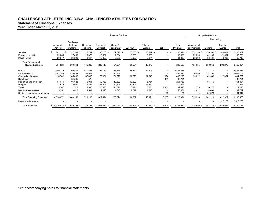#### **Statement of Functional Expenses**

|                                                      | Program Services                      |                                     |                               |                                |                               |                             |                             |                |                                | <b>Supporting Services</b>     |                                |                                      |                                 |
|------------------------------------------------------|---------------------------------------|-------------------------------------|-------------------------------|--------------------------------|-------------------------------|-----------------------------|-----------------------------|----------------|--------------------------------|--------------------------------|--------------------------------|--------------------------------------|---------------------------------|
|                                                      |                                       |                                     |                               |                                |                               |                             |                             |                |                                |                                | Fundraising                    |                                      |                                 |
|                                                      | Access for<br>Athletes                | San Diego<br>Triathlon<br>Challenge | Operation<br>Rebound          | Community<br>Outreach          | Catch A<br><b>Rising Star</b> | JSF Surf                    | Adaptive<br>Cycling         | Idaho          | Total<br>Programs              | Management<br>and General      | General                        | Special<br>Events                    | Total                           |
| Salaries<br>Employee benefits<br>Payroll taxes       | 262,111 \$<br>\$.<br>22,666<br>20,047 | 317,591 \$<br>27,463<br>24,290      | 125,739 \$<br>10,873<br>9,617 | 196,153 \$<br>16,962<br>15,002 | 89,672 \$<br>7,754<br>6,858   | 78,708 \$<br>6,806<br>6,020 | 38,847 \$<br>3,359<br>2,971 | - \$           | 108,821 \$<br>95,883<br>84,805 | 371,196 \$<br>32,099<br>28,390 | 476,331 \$<br>41,190<br>36,431 | 249,604 \$<br>21,584<br>19,090       | 2,205,952<br>190,756<br>168,716 |
| <b>Total Salaries and</b><br><b>Related Expenses</b> | 304,824                               | 369,344                             | 146,229                       | 228,117                        | 104,284                       | 91,534                      | 45,177                      |                | 1,289,509                      | 431,685                        | 553,952                        | 290,278                              | 2,565,424                       |
| Grants                                               | 2,700,326                             | 69,826                              | 477,393                       | 99,736                         | 28,329                        | 37,494                      | 30,309                      | $\blacksquare$ | 3,443,413                      |                                |                                | $\overline{\phantom{a}}$             | 3,443,413                       |
| In-kind benefits                                     | ,307,283                              | 526,454                             | 31,919                        |                                | 20,368                        |                             |                             |                | 1,886,024                      | 36,499                         | 121,250                        |                                      | 2,043,773                       |
| Other administration                                 | 118,742                               | 145,866                             | 47,430                        | 79,051                         | 31,620                        | 31,620                      | 31,640                      | 324            | 486,293                        | 53,822                         | 142,563                        | 122,051                              | 804,729                         |
| Direct event                                         |                                       | 434,865                             | 572                           |                                |                               |                             |                             | 354            | 435,791                        |                                |                                | $\overline{\phantom{0}}$             | 435,791                         |
| Marketing and promotion                              | 67,644                                | 95,628                              | 16,911                        | 50,733                         | 13,529                        | 13,529                      | 6,764                       | $\blacksquare$ | 264,738                        |                                | 86,756                         | $\overline{\phantom{0}}$             | 351,494                         |
| Program                                              | 22,515                                | 5,050                               | 1,285                         | 134,891                        | 60,705                        | 29,494                      | 16,351                      |                | 270,291                        |                                |                                | $\overline{\phantom{0}}$             | 270,291                         |
| Travel                                               | 5,587                                 | 12,312                              | 1,930                         | 25,876                         | 24,576                        | 8,971                       | 5,634                       | 7,454          | 92,340                         | 1,578                          | 30,272                         | $\sim$                               | 124,190                         |
| Merchant service fees                                | 9,551                                 | 29,813                              | 4,594                         | 4,020                          | 1,613                         | 1,617                       | 4,246                       |                | 55,454                         | 2,412                          | 24,863                         |                                      | 82,729                          |
| Business and donor development                       |                                       |                                     |                               |                                |                               |                             |                             | 71             | 71                             |                                | 81,573                         |                                      | 81,644                          |
| <b>Total Operating Expenses</b>                      | 4,536,472                             | 1,689,158                           | 728,263                       | 622,424                        | 285,024                       | 214,259                     | 140,121                     | 8,203          | 8,223,924                      | 525,996                        | ,041,229                       | 412,329                              | 10,203,478                      |
| Direct special events                                |                                       |                                     |                               |                                |                               |                             |                             |                |                                |                                |                                | 2,517,270                            | 2,517,270                       |
| <b>Total Expenses</b>                                | $$4,536,472$ \$1,689,158 \$           |                                     | 728,263 \$                    | 622,424 \$                     | 285,024 \$                    | 214,259 \$                  | 140,121 \$                  | $8,203$ \$     | 8,223,924 \$                   |                                |                                | 525,996 \$ 1,041,229 \$ 2,929,599 \$ | 12,720,748                      |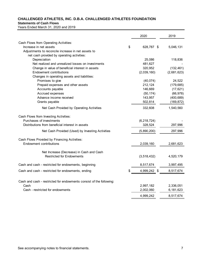#### **Statements of Cash Flows**

Years Ended March 31, 2020 and 2019

|                                                                              | 2020               | 2019        |
|------------------------------------------------------------------------------|--------------------|-------------|
| Cash Flows from Operating Activities:                                        |                    |             |
| Increase in net assets                                                       | \$<br>628,787 \$   | 5,046,131   |
| Adjustments to reconcile increase in net assets to                           |                    |             |
| net cash provided by operating activities:                                   |                    |             |
| Depreciation                                                                 | 25,086             | 118,836     |
| Net realized and unrealized losses on investments                            | 481,627            |             |
| Change in value of beneficial interest in assets                             | 320,952            | (132, 461)  |
| <b>Endowment contributions</b>                                               | (2,039,160)        | (2,681,623) |
| Changes in operating assets and liabilities:                                 |                    |             |
| Promises to give                                                             | (40, 074)          | 24,522      |
| Prepaid expenses and other assets                                            | 212,124            | (179, 685)  |
| Accounts payable                                                             | 146,669            | (17, 621)   |
| Accrued expenses                                                             | (50, 174)          | (66, 978)   |
| Advance income received                                                      | 143,957            | (400, 689)  |
| Grants payable                                                               | 502,814            | (169, 872)  |
| Net Cash Provided by Operating Activities                                    | 332,608            | 1,540,560   |
| Cash Flows from Investing Activities:                                        |                    |             |
| Purchases of investments                                                     | (6, 218, 724)      |             |
| Distributions from beneficial interest in assets                             | 328,524            | 297,996     |
| Net Cash Provided (Used) by Investing Activities                             | (5,890,200)        | 297,996     |
| Cash Flows Provided by Financing Activities:                                 |                    |             |
| Endowment contributions                                                      | 2,039,160          | 2,681,623   |
|                                                                              |                    |             |
| Net Increase (Decrease) in Cash and Cash<br><b>Restricted for Endowments</b> | (3, 518, 432)      | 4,520,179   |
|                                                                              |                    |             |
| Cash and cash - restricted for endowments, beginning                         | 8,517,674          | 3,997,495   |
| Cash and cash - restricted for endowments, ending                            | \$<br>4,999,242 \$ | 8,517,674   |
|                                                                              |                    |             |
| Cash and cash - restricted for endowments consist of the following:          |                    |             |
| Cash                                                                         | 2,997,182          | 2,336,051   |
| Cash - restricted for endowments                                             | 2,002,060          | 6,181,623   |
|                                                                              | 4,999,242          | 8,517,674   |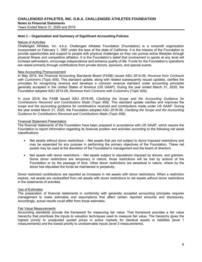Years Ended March 31, 2020 and 2019

#### **Note 1 – Organization and Summary of Significant Accounting Policies**

#### Nature of Activities

Challenged Athletes, Inc. d.b.a. Challenged Athletes Foundation (Foundation) is a nonprofit organization incorporated on February 1, 1997 under the laws of the state of California. It is the mission of the Foundation to provide opportunities and support to people with physical challenges so they can pursue active lifestyles through physical fitness and competitive athletics. It is the Foundation's belief that involvement in sports at any level will increase self-esteem, encourage independence and enhance quality of life. Funds for the Foundation's operations are raised primarily through contributions from private donors, sponsors, and special events.

#### New Accounting Pronouncement

In May 2014, the Financial Accounting Standards Board (FASB) issued ASU 2014-09, *Revenue from Contracts with Customers (Topic 606)*. This standard update, along with related subsequently issued updates, clarifies the principles for recognizing revenue and develops a common revenue standard under accounting principles generally accepted in the United States of America (US GAAP). During the year ended March 31, 2020, the Foundation adopted ASU 2014-09, *Revenue from Contracts with Customers (Topic 606)*.

In June 2018, the FASB issued ASU 2018-08, *Clarifying the Scope and the Accounting Guidance for Contributions Received and Contributions Made (Topic 958)*. This standard update clarifies and improves the scope and the accounting guidance for contributions received and contributions made under US GAAP. During the year ended March 31, 2020, the Foundation adopted ASU 2018-08, *Clarifying the Scope and the Accounting Guidance for Contributions Received and Contributions Made (Topic 958)*.

#### Financial Statement Presentation

The financial statements of the Foundation have been prepared in accordance with US GAAP, which require the Foundation to report information regarding its financial position and activities according to the following net asset classifications:

- Net assets without donor restrictions Net assets that are not subject to donor-imposed restrictions and may be expended for any purpose in performing the primary objectives of the Foundation. These net assets may be used at the discretion of the Foundation's management and the board of directors.
- Net assets with donor restrictions Net assets subject to stipulations imposed by donors, and grantors. Some donor restrictions are temporary in nature; those restrictions will be met by actions of the Foundation or by the passage of time. Other donor restrictions are perpetual in nature, where by the donor has stipulated the funds be maintained in perpetuity.

Donor restricted contributions are reported as increases in net assets with donor restrictions. When a restriction expires, net assets are reclassified from net assets with donor restrictions to net assets without donor restrictions in the statements of activities.

#### Use of Estimates

The preparation of financial statements in conformity with generally accepted accounting principles requires management to make estimates and assumptions that affect certain reported amounts and disclosures. Accordingly, actual results could differ from those estimates.

#### Fair Value Measurements

Accounting standards provide the framework for measuring fair value. That framework provides a fair value hierarchy that prioritizes the inputs to valuation techniques used to measure fair value. The hierarchy gives the highest priority to unadjusted quoted prices in active markets for identical assets or liabilities (level 1 measurements) and the lowest priority to unobservable inputs (level 3 measurements).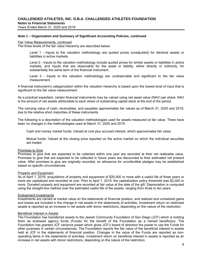Years Ended March 31, 2020 and 2019

#### **Note 1 – Organization and Summary of Significant Accounting Policies, continued**

#### Fair Value Measurements, continued

The three levels of the fair value hierarchy are described below:

Level 1 - Inputs to the valuation methodology are quoted prices (unadjusted) for identical assets or liabilities in active markets.

Level 2 - Inputs to the valuation methodology include quoted prices for similar assets or liabilities in active markets, and inputs that are observable for the asset or liability, either directly or indirectly, for substantially the same term of the financial instrument.

Level 3 - Inputs to the valuation methodology are unobservable and significant to the fair value measurement.

A financial instrument's categorization within the valuation hierarchy is based upon the lowest level of input that is significant to the fair value measurement.

As a practical expedient, certain financial instruments may be valued using net asset value (NAV) per share. NAV is the amount of net assets attributable to each share of outstanding capital stock at the end of the period.

The carrying value of cash, receivables, and payables approximates fair values as of March 31, 2020 and 2019, due to the relative short maturities of these instruments.

The following is a description of the valuation methodologies used for assets measured at fair value. There have been no changes in the methodologies used at March 31, 2020 and 2019.

Cash and money market funds: Valued at cost plus accrued interest, which approximates fair value.

Mutual funds: Valued at the closing price reported on the active market on which the individual securities are traded.

#### Promises to Give

Promises to give that are expected to be collected within one year are recorded at their net realizable value. Promises to give that are expected to be collected in future years are discounted to their estimated net present value. After promises to give are originally recorded, an allowance for uncollectible pledges may be established based on specific circumstances.

#### Property and Equipment

As of April 1, 2019, acquisitions of property and equipment of \$20,000 or more with a useful life of three years or more are capitalized and recorded at cost. Prior to April 1, 2019, the capitalization policy threshold was \$2,000 or more. Donated property and equipment are recorded at fair value at the date of the gift. Depreciation is computed using the straight-line method over the estimated useful life of the assets, ranging from three to ten years.

#### Endowment Investments

Investments are carried at market value on the statements of financial position, and realized and unrealized gains and losses are included in the change in net assets in the statements of activities. Investment return on restricted assets is reported as an increase in net assets with donor restrictions, depending on the nature of the restriction.

#### Beneficial Interest in Assets

The Foundation has transferred assets to the Jewish Community Foundation of San Diego (JCF) which is holding them as endowed agency funds (Funds) for the benefit of the Foundation as a named beneficiary. The Foundation has granted JCF variance power which gives JCF's board of directors the power to use the Funds for other purposes in certain circumstances. The Foundation reports the fair value of the beneficial interest in assets held at JCF in the statements of financial position. Changes in the value of the Funds are reported as nonoperating items in the statements of activities. Investment return on beneficial interest in assets is reported as an increase in net assets with donor restrictions, depending on the nature of the restriction.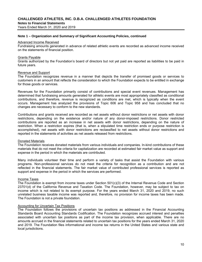Years Ended March 31, 2020 and 2019

#### **Note 1 – Organization and Summary of Significant Accounting Policies, continued**

#### Advanced Income Received

Fundraising amounts generated in advance of related athletic events are recorded as advanced income received on the statements of financial position.

#### Grants Payable

Grants authorized by the Foundation's board of directors but not yet paid are reported as liabilities to be paid in future years.

#### Revenue and Support

The Foundation recognizes revenue in a manner that depicts the transfer of promised goods or services to customers in an amount that reflects the consideration to which the Foundation expects to be entitled in exchange for those goods or services.

Revenues for the Foundation primarily consist of contributions and special event revenues. Management has determined that fundraising amounts generated for athletic events are most appropriately classified as conditional contributions, and therefore, revenue is recognized as conditions are met, which is typically when the event occurs. Management has analyzed the provisions of Topic 606 and Topic 958 and has concluded that no changes are necessary to conform to the new standards.

Contributions and grants received are recorded as net assets without donor restrictions or net assets with donor restrictions, depending on the existence and/or nature of any donor-imposed restrictions. Donor restricted contributions are reported as an increase in net assets with donor restrictions, depending on the nature of restriction. When a restriction expires (that is, when a stipulated time restriction ends or purpose restriction is accomplished), net assets with donor restrictions are reclassified to net assets without donor restrictions and reported in the statements of activities as net assets released from restrictions.

#### Donated Materials

The Foundation receives donated materials from various individuals and companies. In-kind contributions of these materials that do not meet the criteria for capitalization are recorded at estimated fair market value as support and expense in the period in which the materials are contributed.

Many individuals volunteer their time and perform a variety of tasks that assist the Foundation with various programs. Non-professional services do not meet the criteria for recognition as a contribution and are not reflected in the financial statements. The fair market value of contributed professional services is reported as support and expense in the period in which the services are performed.

#### Income Taxes

The Foundation is exempt from income taxes under Section 501(c)(3) of the Internal Revenue Code and Section 23701(d) of the California Revenue and Taxation Code. The Foundation, however, may be subject to tax on income which is not related to its exempt purpose. For the years ended March 31, 2020 and 2019, no such unrelated business taxable income was reported and, therefore, no provision for income taxes has been made. The Foundation is not a private foundation.

#### Accounting for Uncertain Tax Positions

The Foundation follows the provisions of uncertain tax positions as addressed in the Financial Accounting Standards Board Accounting Standards Codification. The Foundation recognizes accrued interest and penalties associated with uncertain tax positions as part of the income tax provision, when applicable. There are no amounts accrued in the financial statements related to uncertain tax positions for the years ended March 31, 2020 and 2019. The Foundation files informational and income tax returns in the United States and various state and local jurisdictions.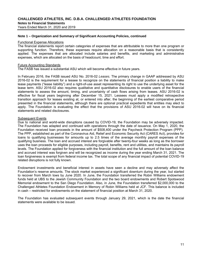Years Ended March 31, 2020 and 2019

#### **Note 1 – Organization and Summary of Significant Accounting Policies, continued**

#### Functional Expense Allocations

The financial statements report certain categories of expenses that are attributable to more than one program or supporting function. Therefore, these expenses require allocation on a reasonable basis that is consistently applied. The expenses that are allocated include salaries and benefits, and marketing and administrative expenses, which are allocated on the basis of headcount, time and effort.

#### Future Accounting Standards

The FASB has issued a substantial ASU which will become effective in future years.

In February 2016, the FASB issued ASU No. 2016-02 *Leases.* The primary change in GAAP addressed by ASU 2016-02 is the requirement for a lessee to recognize on the statements of financial position a liability to make lease payments ("lease liability") and a right-of-use asset representing its right to use the underlying asset for the lease term. ASU 2016-02 also requires qualitative and quantitative disclosures to enable users of the financial statements to assess the amount, timing, and uncertainty of cash flows arising from leases. ASU 2016-02 is effective for fiscal years beginning after December 15, 2021. Lessees must apply a modified retrospective transition approach for leases existing at, or entered into after, the beginning of the earliest comparative period presented in the financial statements, although there are optional practical expedients that entities may elect to apply. The Foundation is evaluating the effect that the provisions of ASU 2016-02 will have on its financial statements and related disclosures.

#### Subsequent Events

Due to national and world-wide disruptions caused by COVID-19, the Foundation may be adversely impacted. The Foundation has adapted and continued with operations through the date of issuance. On May 1, 2020, the Foundation received loan proceeds in the amount of \$508,400 under the Paycheck Protection Program (PPP). The PPP, established as part of the Coronavirus Aid, Relief and Economic Security Act (CARES Act), provides for loans to qualifying businesses for amounts up to 2.5 times of the average monthly payroll expenses of the qualifying business. The loan and accrued interest are forgivable after twenty-four weeks as long as the borrower uses the loan proceeds for eligible purposes, including payroll, benefits, rent and utilities, and maintains its payroll levels. The Foundation applied for forgiveness with the financial institution and the full amount of the loan balance and accrued interest was forgiven and will be recognized as income during the year ending March 31, 2021. The loan forgiveness is exempt from federal income tax. The total scope of any financial impact of potential COVID-19 related disruptions is not fully known.

Endowment investments and beneficial interest in assets have seen a decline and may adversely affect the Foundation's reserve amounts. The stock market experienced a significant downturn during the year, but started to recover from March lows by June 2020. In June, the Foundation transferred the Robin Williams endowment funds held at UBS to the Jewish Community Foundation and the two board endowments and Robert Spotswood Memorial endowment to the San Diego Foundation. Also, in June, the Foundation transferred \$2,000,000 to the Challenged Athletes Foundation Endowment in Memory of Robin Williams held at JCF. This balance is included in cash – restricted for endowments on the statement of financial position at March 31, 2020.

The Foundation has evaluated subsequent events through January 29, 2021, which is the date the financial statements were available to be issued.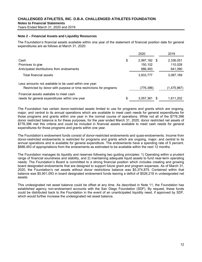Years Ended March 31, 2020 and 2019

#### **Note 2 – Financial Assets and Liquidity Resources**

The Foundation's financial assets available within one year of the statement of financial position date for general expenditures are as follows at March 31, 2020:

|                                                                    | 2020               | 2019        |
|--------------------------------------------------------------------|--------------------|-------------|
| Cash                                                               | \$<br>2,997,182 \$ | 2,336,051   |
| Promises to give                                                   | 150,102            | 110,028     |
| Anticipated distributions from endowments                          | 686.493            | 641,090     |
| Total financial assets                                             | 3,833,777          | 3,087,169   |
| Less amounts not available to be used within one year:             |                    |             |
| Restricted by donor with purpose or time restrictions for programs | (776, 396)         | (1,475,967) |
| Financial assets available to meet cash                            |                    |             |
| needs for general expenditures within one year                     | \$<br>3,057,381    | 1,611,202   |

The Foundation has certain donor-restricted assets limited to use for programs and grants which are ongoing, major, and central to its annual operations which are available to meet cash needs for general expenditures for those programs and grants within one year in the normal course of operations. While not all of the \$776,396 donor restricted balance is for these purposes, for the year ended March 31, 2020, donor restricted net assets of \$776,396 met this criteria and could be included in financial assets available to meet cash needs for general expenditures for those programs and grants within one year.

The Foundation's endowment funds consist of donor-restricted endowments and quasi-endowments. Income from donor-restricted endowments is restricted for programs and grants which are ongoing, major, and central to its annual operations and is available for general expenditure. The endowments have a spending rate of 5 percent. \$686,493 of appropriations from the endowments as estimated to be available within the next 12 months.

The Foundation manages its liquidity and reserves following two guiding principles: 1) Operating within a prudent range of financial soundness and stability, and 2) maintaining adequate liquid assets to fund near-term operating needs. The Foundation's Board is committed to a strong financial position which includes creating and growing board designated endowments that are designed to support future grant and program expenses. As of March 31, 2020, the Foundation's net assets without donor restrictions balance was \$5,374,875. Contained within that balance was \$5,901,093 in board designated endowment funds leaving a deficit of \$526,218 in undesignated net assets.

This undesignated net asset balance could be offset at any time. As described in Note 11, the Foundation has established agency non-endowment accounts with the San Diego Foundation (SDF). By request, these funds could be distributed back to the Foundation in the event of an unanticipated liquidity need, if approved by SDF, which would further increase the undesignated net asset balance.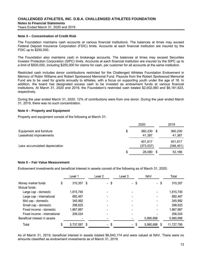#### **Note 3 – Concentration of Credit Risk**

The Foundation maintains cash accounts at various financial institutions. The balances at times may exceed Federal Deposit Insurance Corporation (FDIC) limits. Accounts at each financial institution are insured by the FDIC up to \$250,000.

The Foundation also maintains cash in brokerage accounts. The balances at times may exceed Securities Investor Protection Corporation (SIPC) limits. Accounts at each financial institution are insured by the SIPC up to a limit of \$500,000, including \$250,000 for claims for cash, per customer for all accounts at the same institution.

Restricted cash includes donor contributions restricted for the Challenged Athletes Foundation Endowment in Memory of Robin Williams and Robert Spotswood Memorial Fund. Payouts from the Robert Spotswood Memorial Fund are to be used for grants annually to athletes, with a focus on supporting youth under the age of 18. In addition, the board has designated excess cash to be invested as endowment funds at various financial institutions. At March 31, 2020 and 2019, the Foundation's restricted cash totaled \$2,002,060 and \$6,181,623, respectively.

During the year ended March 31, 2020, 12% of contributions were from one donor. During the year ended March 31, 2019, there was no such concentration.

#### **Note 4 – Property and Equipment**

Property and equipment consist of the following at March 31:

|                                                   | 2020 |                       |    | 2019                  |  |  |
|---------------------------------------------------|------|-----------------------|----|-----------------------|--|--|
| Equipment and furniture<br>Leasehold improvements | \$   | 360,230<br>41,387     | \$ | 360,230<br>41,387     |  |  |
| Less accumulated depreciation                     |      | 401,617<br>(373, 537) |    | 401,617<br>(348, 451) |  |  |
|                                                   | S    | 28,080                | S  | 53,166                |  |  |

#### **Note 5 – Fair Value Measurement**

Endowment investments and beneficial interest in assets consist of the following as of March 31, 2020:

|                               |   | Level 1    | Level 2 | Level 3 |      | <b>NAV</b> |   | Total      |
|-------------------------------|---|------------|---------|---------|------|------------|---|------------|
| Money market funds            | S | 310,357 \$ | - \$    |         | - \$ | - \$       |   | 310,357    |
| Mutual funds:                 |   |            |         |         |      |            |   |            |
| Large cap - domestic          |   | 1,815,745  |         |         |      |            |   | 1,815,745  |
| Large cap - international     |   | 892,467    |         |         |      |            |   | 892,467    |
| Mid cap - domestic            |   | 345,992    |         |         |      |            |   | 345,992    |
| Small cap - domestic          |   | 298,625    |         |         |      |            |   | 298,625    |
| Fixed income - domestic       |   | 1,867,887  |         |         |      |            |   | 1,867,887  |
| Fixed income - international  |   | 206,024    |         |         |      |            |   | 206,024    |
| Beneficial interest in assets |   |            |         |         |      | 5,990,698  |   | 5,990,698  |
| Total                         |   | 5,737,097  | - \$    |         | - \$ | 5,990,698  | S | 11,727,795 |

As of March 31, 2019, beneficial interest in assets totaled \$6,640,174 and were valued at NAV. There were no amounts classified as endowment investments as of March 31, 2019.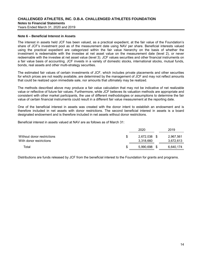Years Ended March 31, 2020 and 2019

#### **Note 6 – Beneficial Interest in Assets**

The interest in assets held JCF has been valued, as a practical expedient, at the fair value of the Foundation's share of JCF's investment pool as of the measurement date using NAV per share. Beneficial interests valued using the practical expedient are categorized within the fair value hierarchy on the basis of whether the investment is redeemable with the investee at net asset value on the measurement date (level 2), or never redeemable with the investee at net asset value (level 3). JCF values securities and other financial instruments on a fair value basis of accounting. JCF invests in a variety of domestic stocks, international stocks, mutual funds, bonds, real assets and other multi-strategy securities.

The estimated fair values of certain investments of JCF, which includes private placements and other securities for which prices are not readily available, are determined by the management of JCF and may not reflect amounts that could be realized upon immediate sale, nor amounts that ultimately may be realized.

The methods described above may produce a fair value calculation that may not be indicative of net realizable value or reflective of future fair values. Furthermore, while JCF believes its valuation methods are appropriate and consistent with other market participants, the use of different methodologies or assumptions to determine the fair value of certain financial instruments could result in a different fair value measurement at the reporting date.

One of the beneficial interest in assets was created with the donor intent to establish an endowment and is therefore included in net assets with donor restrictions. The second beneficial interest in assets is a board designated endowment and is therefore included in net assets without donor restrictions.

Beneficial interest in assets valued at NAV are as follows as of March 31:

|                                                       | 2020                   | 2019                   |
|-------------------------------------------------------|------------------------|------------------------|
| Without donor restrictions<br>With donor restrictions | 2,672,038<br>3,318,660 | 2,967,561<br>3,672,613 |
| Total                                                 | 5.990.698              | 6,640,174              |

Distributions are funds released by JCF from the beneficial interest to the Foundation for grants and programs.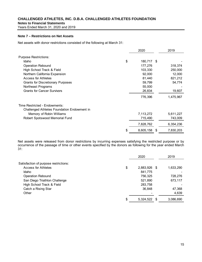**Notes to Financial Statements** 

Years Ended March 31, 2020 and 2019

#### **Note 7 – Restrictions on Net Assets**

Net assets with donor restrictions consisted of the following at March 31:

|                                             | 2020             |   | 2019      |
|---------------------------------------------|------------------|---|-----------|
| <b>Purpose Restrictions:</b>                |                  |   |           |
| Idaho                                       | \$<br>180,717 \$ |   |           |
| <b>Operation Rebound</b>                    | 177,276          |   | 318,374   |
| High School Track & Field                   | 103,330          |   | 250,000   |
| Northern California Expansion               | 92,000           |   | 12,000    |
| Access for Athletes                         | 81,440           |   | 821,212   |
| <b>Grants for Discretionary Purposes</b>    | 59,799           |   | 54,774    |
| Northeast Programs                          | 55,000           |   |           |
| <b>Grants for Cancer Survivors</b>          | 26,834           |   | 19,607    |
|                                             | 776,396          |   | 1,475,967 |
| Time Restricted - Endowments:               |                  |   |           |
| Challenged Athletes Foundation Endowment in |                  |   |           |
| Memory of Robin Williams                    | 7,113,272        |   | 5,611,227 |
| Robert Spotswood Memorial Fund              | 715,490          |   | 743,009   |
|                                             | 7,828,762        |   | 6,354,236 |
|                                             | \$<br>8,605,158  | S | 7,830,203 |

Net assets were released from donor restrictions by incurring expenses satisfying the restricted purpose or by occurrence of the passage of time or other events specified by the donors as following for the year ended March 31:

|                                       | 2020            |   | 2019      |
|---------------------------------------|-----------------|---|-----------|
| Satisfaction of purpose restrictions: |                 |   |           |
| <b>Access for Athletes</b>            | \$<br>2,883,926 | S | 1,633,290 |
| Idaho                                 | 841,775         |   |           |
| <b>Operation Rebound</b>              | 756,325         |   | 728,276   |
| San Diego Triathlon Challenge         | 521,890         |   | 673,117   |
| High School Track & Field             | 283,758         |   |           |
| Catch a Rising Star                   | 36,848          |   | 47,368    |
| Other                                 |                 |   | 4,639     |
|                                       | \$<br>5,324,522 | S | 3,086,690 |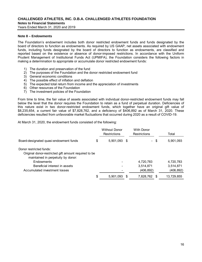Years Ended March 31, 2020 and 2019

#### **Note 8 – Endowments**

The Foundation's endowment includes both donor restricted endowment funds and funds designated by the board of directors to function as endowments. As required by US GAAP, net assets associated with endowment funds, including funds designated by the board of directors to function as endowments, are classified and reported based on the existence or absence of donor-imposed restrictions. In accordance with the Uniform Prudent Management of Institutional Funds Act (UPMIFA), the Foundation considers the following factors in making a determination to appropriate or accumulate donor restricted endowment funds:

- 1) The duration and preservation of the fund
- 2) The purposes of the Foundation and the donor restricted endowment fund
- 3) General economic conditions
- 4) The possible effect of inflation and deflation
- 5) The expected total return from income and the appreciation of investments
- 6) Other resources of the Foundation
- 7) The investment policies of the Foundation

From time to time, the fair value of assets associated with individual donor-restricted endowment funds may fall below the level that the donor requires the Foundation to retain as a fund of perpetual duration. Deficiencies of this nature exist in two donor-restricted endowment funds, which together have an original gift value of \$8,235,654, a current fair value of \$7,828,762, and a deficiency of \$406,892 as of March 31, 2020. These deficiencies resulted from unfavorable market fluctuations that occurred during 2020 as a result of COVID-19.

At March 31, 2020, the endowment funds consisted of the following:

|    | <b>Without Donor</b><br><b>Restrictions</b>          | <b>With Donor</b><br><b>Restrictions</b> |      | Total      |
|----|------------------------------------------------------|------------------------------------------|------|------------|
| \$ |                                                      | $\sim$                                   | -\$  | 5,901,093  |
|    |                                                      |                                          |      |            |
|    |                                                      | 4,720,783                                |      | 4,720,783  |
|    |                                                      | 3,514,871                                |      | 3,514,871  |
|    |                                                      | (406, 892)                               |      | (406,892)  |
| S  |                                                      | 7,828,762                                | - \$ | 13,729,855 |
|    | Original donor-restricted gift amount required to be | $5,901,093$ \$<br>$5,901,093$ \$         |      |            |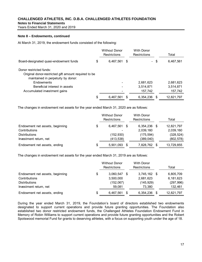**Notes to Financial Statements** 

Years Ended March 31, 2020 and 2019

#### **Note 8 – Endowments, continued**

At March 31, 2019, the endowment funds consisted of the following:

|                                                                                                                       | <b>Without Donor</b><br><b>Restrictions</b> | <b>With Donor</b><br><b>Restrictions</b> |      | Total      |
|-----------------------------------------------------------------------------------------------------------------------|---------------------------------------------|------------------------------------------|------|------------|
| Board-designated quasi-endowment funds                                                                                | \$<br>6,467,561 \$                          | $\sim$                                   | -\$  | 6,467,561  |
| Donor restricted funds:<br>Original donor-restricted gift amount required to be<br>maintained in perpetuity by donor: |                                             |                                          |      |            |
| Endowments                                                                                                            |                                             | 2,681,623                                |      | 2,681,623  |
| Beneficial interest in assets                                                                                         |                                             | 3,514,871                                |      | 3,514,871  |
| Accumulated investment gains                                                                                          |                                             | 157,742                                  |      | 157,742    |
|                                                                                                                       | \$<br>6,467,561                             | 6,354,236                                | - \$ | 12,821,797 |

The changes in endowment net assets for the year ended March 31, 2020 are as follows:

|                                 | <b>Without Donor</b><br><b>Restrictions</b> | <b>With Donor</b><br><b>Restrictions</b> |   | Total      |
|---------------------------------|---------------------------------------------|------------------------------------------|---|------------|
| Endowment net assets, beginning | \$<br>6.467.561 \$                          | 6,354,236                                | S | 12,821,797 |
| Contributions                   |                                             | 2,039,160                                |   | 2,039,160  |
| <b>Distributions</b>            | (152, 930)                                  | (175, 594)                               |   | (328, 524) |
| Investment return, net          | (413, 538)                                  | (389, 040)                               |   | (802, 578) |
| Endowment net assets, ending    | \$<br>5,901,093                             | 7,828,762                                | S | 13,729,855 |

The changes in endowment net assets for the year ended March 31, 2019 are as follows:

|                                 |    | <b>Without Donor</b><br><b>Restrictions</b> | <b>With Donor</b><br><b>Restrictions</b> |      | Total      |
|---------------------------------|----|---------------------------------------------|------------------------------------------|------|------------|
| Endowment net assets, beginning | \$ | 3,060,547                                   | 3,745,162                                | - \$ | 6,805,709  |
| Contributions                   |    | 3,500,000                                   | 2,681,623                                |      | 6,181,623  |
| <b>Distributions</b>            |    | (152,067)                                   | (145, 929)                               |      | (297, 996) |
| Investment return, net          |    | 59.081                                      | 73,380                                   |      | 132,461    |
| Endowment net assets, ending    | S  | 6,467,561                                   | 6.354.236                                | S    | 12,821,797 |

During the year ended March 31, 2019, the Foundation's board of directors established two endowments designated to support current operations and provide future granting opportunities. The Foundation also established two donor restricted endowment funds, the Challenged Athletes Foundation Endowment Fund in Memory of Robin Williams to support current operations and provide future granting opportunities and the Robert Spotswood memorial Fund for grants to deserving athletes, with a focus on supporting youth under the age of 18.